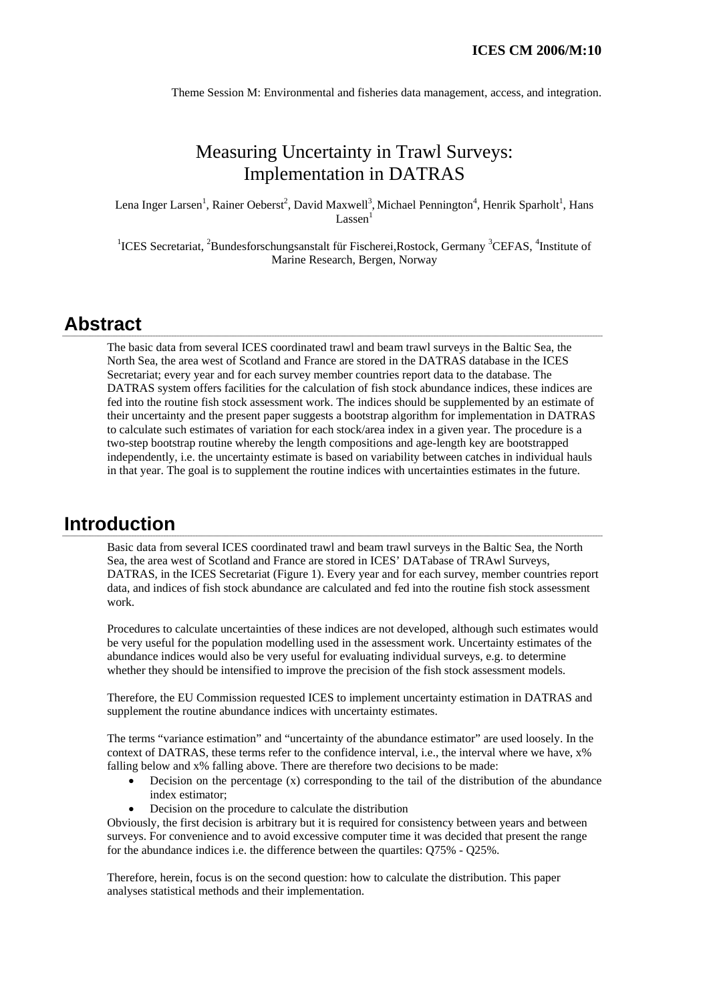Theme Session M: Environmental and fisheries data management, access, and integration.

# Measuring Uncertainty in Trawl Surveys: Implementation in DATRAS

Lena Inger Larsen<sup>1</sup>, Rainer Oeberst<sup>2</sup>, David Maxwell<sup>3</sup>, Michael Pennington<sup>4</sup>, Henrik Sparholt<sup>1</sup>, Hans Lassen<sup>1</sup>

<sup>1</sup>ICES Secretariat, <sup>2</sup>Bundesforschungsanstalt für Fischerei,Rostock, Germany <sup>3</sup>CEFAS, <sup>4</sup>Institute of Marine Research, Bergen, Norway

## **Abstract**

The basic data from several ICES coordinated trawl and beam trawl surveys in the Baltic Sea, the North Sea, the area west of Scotland and France are stored in the DATRAS database in the ICES Secretariat; every year and for each survey member countries report data to the database. The DATRAS system offers facilities for the calculation of fish stock abundance indices, these indices are fed into the routine fish stock assessment work. The indices should be supplemented by an estimate of their uncertainty and the present paper suggests a bootstrap algorithm for implementation in DATRAS to calculate such estimates of variation for each stock/area index in a given year. The procedure is a two-step bootstrap routine whereby the length compositions and age-length key are bootstrapped independently, i.e. the uncertainty estimate is based on variability between catches in individual hauls in that year. The goal is to supplement the routine indices with uncertainties estimates in the future.

## **Introduction**

Basic data from several ICES coordinated trawl and beam trawl surveys in the Baltic Sea, the North Sea, the area west of Scotland and France are stored in ICES' DATabase of TRAwl Surveys, DATRAS, in the ICES Secretariat (Figure 1). Every year and for each survey, member countries report data, and indices of fish stock abundance are calculated and fed into the routine fish stock assessment work.

Procedures to calculate uncertainties of these indices are not developed, although such estimates would be very useful for the population modelling used in the assessment work. Uncertainty estimates of the abundance indices would also be very useful for evaluating individual surveys, e.g. to determine whether they should be intensified to improve the precision of the fish stock assessment models.

Therefore, the EU Commission requested ICES to implement uncertainty estimation in DATRAS and supplement the routine abundance indices with uncertainty estimates.

The terms "variance estimation" and "uncertainty of the abundance estimator" are used loosely. In the context of DATRAS, these terms refer to the confidence interval, i.e., the interval where we have, x% falling below and x% falling above. There are therefore two decisions to be made:

- Decision on the percentage  $(x)$  corresponding to the tail of the distribution of the abundance index estimator;
- Decision on the procedure to calculate the distribution

Obviously, the first decision is arbitrary but it is required for consistency between years and between surveys. For convenience and to avoid excessive computer time it was decided that present the range for the abundance indices i.e. the difference between the quartiles: Q75% - Q25%.

Therefore, herein, focus is on the second question: how to calculate the distribution. This paper analyses statistical methods and their implementation.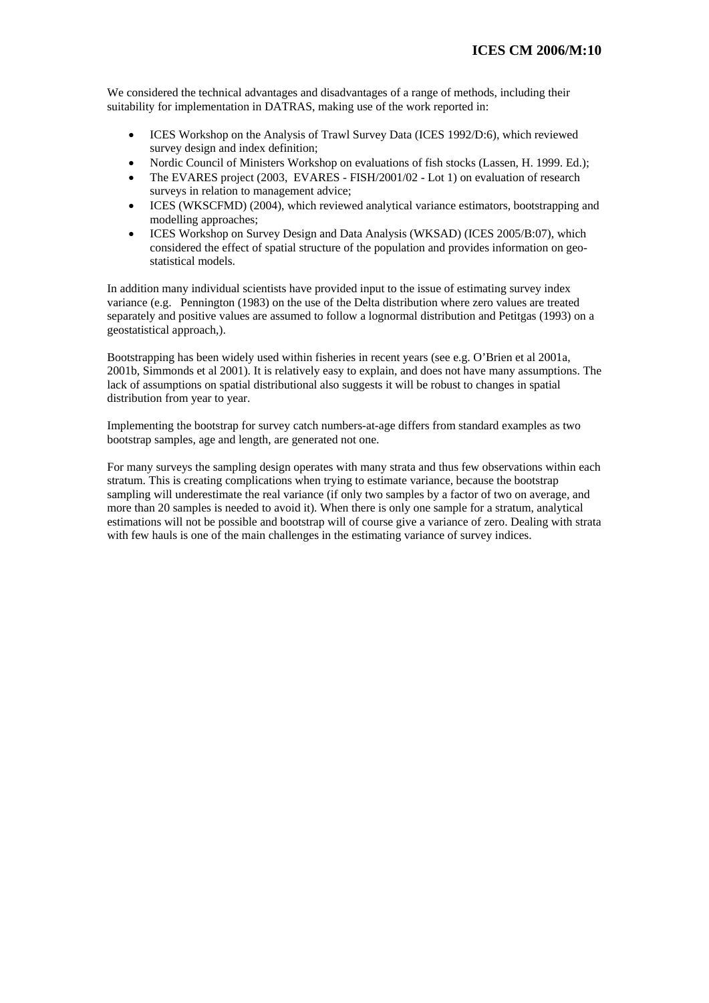We considered the technical advantages and disadvantages of a range of methods, including their suitability for implementation in DATRAS, making use of the work reported in:

- ICES Workshop on the Analysis of Trawl Survey Data (ICES 1992/D:6), which reviewed survey design and index definition;
- Nordic Council of Ministers Workshop on evaluations of fish stocks (Lassen, H. 1999. Ed.);
- The EVARES project (2003, EVARES FISH/2001/02 Lot 1) on evaluation of research surveys in relation to management advice;
- ICES (WKSCFMD) (2004), which reviewed analytical variance estimators, bootstrapping and modelling approaches;
- ICES Workshop on Survey Design and Data Analysis (WKSAD) (ICES 2005/B:07), which considered the effect of spatial structure of the population and provides information on geostatistical models.

In addition many individual scientists have provided input to the issue of estimating survey index variance (e.g. Pennington (1983) on the use of the Delta distribution where zero values are treated separately and positive values are assumed to follow a lognormal distribution and Petitgas (1993) on a geostatistical approach,).

Bootstrapping has been widely used within fisheries in recent years (see e.g. O'Brien et al 2001a, 2001b, Simmonds et al 2001). It is relatively easy to explain, and does not have many assumptions. The lack of assumptions on spatial distributional also suggests it will be robust to changes in spatial distribution from year to year.

Implementing the bootstrap for survey catch numbers-at-age differs from standard examples as two bootstrap samples, age and length, are generated not one.

For many surveys the sampling design operates with many strata and thus few observations within each stratum. This is creating complications when trying to estimate variance, because the bootstrap sampling will underestimate the real variance (if only two samples by a factor of two on average, and more than 20 samples is needed to avoid it). When there is only one sample for a stratum, analytical estimations will not be possible and bootstrap will of course give a variance of zero. Dealing with strata with few hauls is one of the main challenges in the estimating variance of survey indices.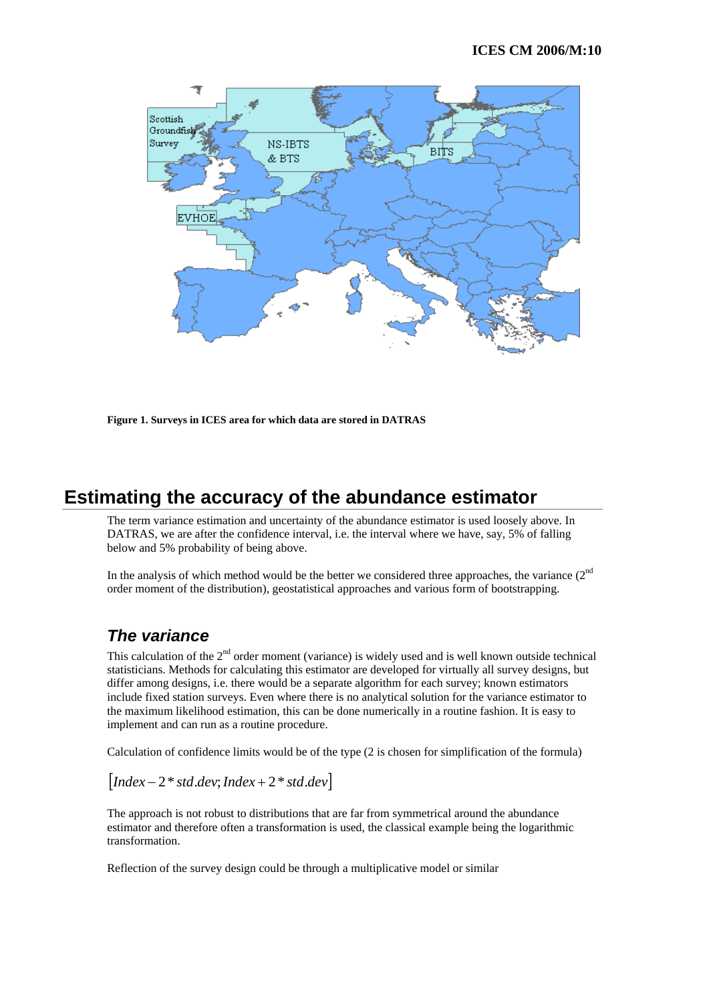

**Figure 1. Surveys in ICES area for which data are stored in DATRAS** 

# **Estimating the accuracy of the abundance estimator**

The term variance estimation and uncertainty of the abundance estimator is used loosely above. In DATRAS, we are after the confidence interval, i.e. the interval where we have, say, 5% of falling below and 5% probability of being above.

In the analysis of which method would be the better we considered three approaches, the variance  $(2<sup>nd</sup>$ order moment of the distribution), geostatistical approaches and various form of bootstrapping.

#### *The variance*

This calculation of the  $2<sup>nd</sup>$  order moment (variance) is widely used and is well known outside technical statisticians. Methods for calculating this estimator are developed for virtually all survey designs, but differ among designs, i.e. there would be a separate algorithm for each survey; known estimators include fixed station surveys. Even where there is no analytical solution for the variance estimator to the maximum likelihood estimation, this can be done numerically in a routine fashion. It is easy to implement and can run as a routine procedure.

Calculation of confidence limits would be of the type (2 is chosen for simplification of the formula)

$$
[Index-2 * std. dev; Index + 2 * std. dev]
$$

The approach is not robust to distributions that are far from symmetrical around the abundance estimator and therefore often a transformation is used, the classical example being the logarithmic transformation.

Reflection of the survey design could be through a multiplicative model or similar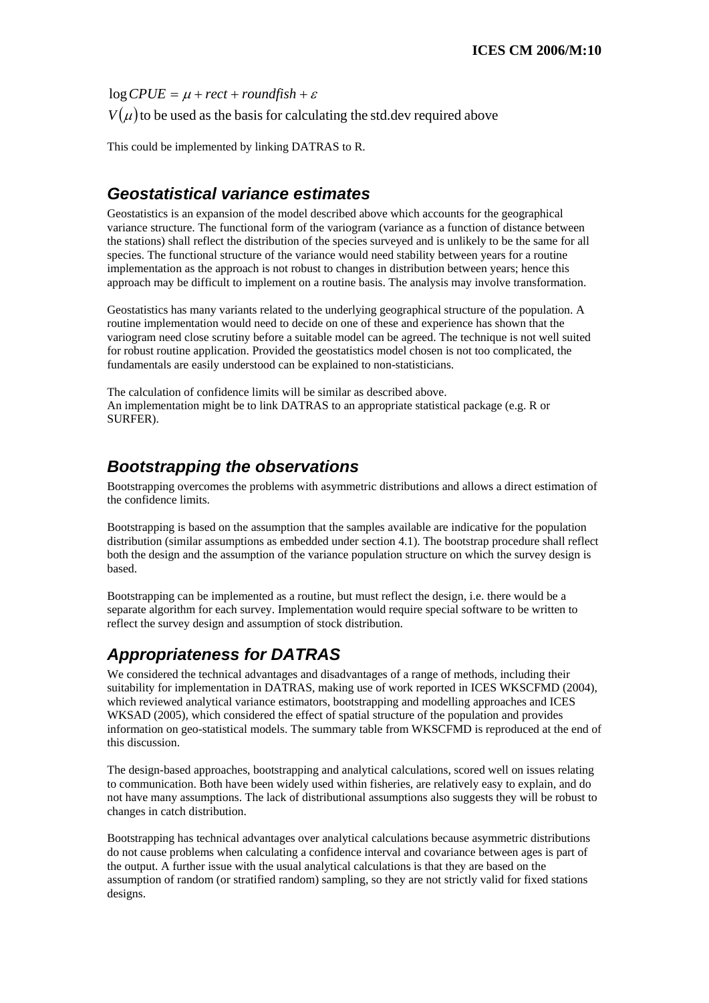$\log CPUE = \mu + rect + roundfish + \varepsilon$ 

 $V(\mu)$  to be used as the basis for calculating the std.dev required above

This could be implemented by linking DATRAS to R.

## *Geostatistical variance estimates*

Geostatistics is an expansion of the model described above which accounts for the geographical variance structure. The functional form of the variogram (variance as a function of distance between the stations) shall reflect the distribution of the species surveyed and is unlikely to be the same for all species. The functional structure of the variance would need stability between years for a routine implementation as the approach is not robust to changes in distribution between years; hence this approach may be difficult to implement on a routine basis. The analysis may involve transformation.

Geostatistics has many variants related to the underlying geographical structure of the population. A routine implementation would need to decide on one of these and experience has shown that the variogram need close scrutiny before a suitable model can be agreed. The technique is not well suited for robust routine application. Provided the geostatistics model chosen is not too complicated, the fundamentals are easily understood can be explained to non-statisticians.

The calculation of confidence limits will be similar as described above. An implementation might be to link DATRAS to an appropriate statistical package (e.g. R or SURFER).

## *Bootstrapping the observations*

Bootstrapping overcomes the problems with asymmetric distributions and allows a direct estimation of the confidence limits.

Bootstrapping is based on the assumption that the samples available are indicative for the population distribution (similar assumptions as embedded under section 4.1). The bootstrap procedure shall reflect both the design and the assumption of the variance population structure on which the survey design is based.

Bootstrapping can be implemented as a routine, but must reflect the design, i.e. there would be a separate algorithm for each survey. Implementation would require special software to be written to reflect the survey design and assumption of stock distribution.

## *Appropriateness for DATRAS*

We considered the technical advantages and disadvantages of a range of methods, including their suitability for implementation in DATRAS, making use of work reported in ICES WKSCFMD (2004), which reviewed analytical variance estimators, bootstrapping and modelling approaches and ICES WKSAD (2005), which considered the effect of spatial structure of the population and provides information on geo-statistical models. The summary table from WKSCFMD is reproduced at the end of this discussion.

The design-based approaches, bootstrapping and analytical calculations, scored well on issues relating to communication. Both have been widely used within fisheries, are relatively easy to explain, and do not have many assumptions. The lack of distributional assumptions also suggests they will be robust to changes in catch distribution.

Bootstrapping has technical advantages over analytical calculations because asymmetric distributions do not cause problems when calculating a confidence interval and covariance between ages is part of the output. A further issue with the usual analytical calculations is that they are based on the assumption of random (or stratified random) sampling, so they are not strictly valid for fixed stations designs.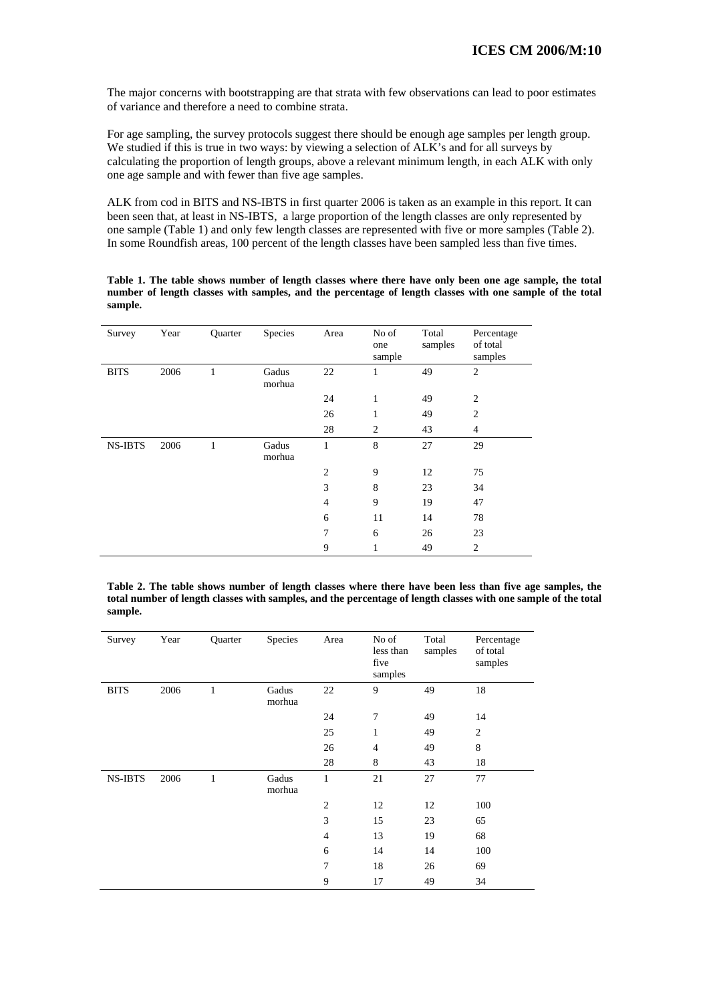The major concerns with bootstrapping are that strata with few observations can lead to poor estimates of variance and therefore a need to combine strata.

For age sampling, the survey protocols suggest there should be enough age samples per length group. We studied if this is true in two ways: by viewing a selection of ALK's and for all surveys by calculating the proportion of length groups, above a relevant minimum length, in each ALK with only one age sample and with fewer than five age samples.

ALK from cod in BITS and NS-IBTS in first quarter 2006 is taken as an example in this report. It can been seen that, at least in NS-IBTS, a large proportion of the length classes are only represented by one sample (Table 1) and only few length classes are represented with five or more samples (Table 2). In some Roundfish areas, 100 percent of the length classes have been sampled less than five times.

**Table 1. The table shows number of length classes where there have only been one age sample, the total number of length classes with samples, and the percentage of length classes with one sample of the total sample.** 

| Survey         | Year | Quarter | Species         | Area           | No of<br>one<br>sample | Total<br>samples | Percentage<br>of total<br>samples |
|----------------|------|---------|-----------------|----------------|------------------------|------------------|-----------------------------------|
| <b>BITS</b>    | 2006 | 1       | Gadus<br>morhua | 22             | 1                      | 49               | $\overline{2}$                    |
|                |      |         |                 | 24             | 1                      | 49               | $\overline{2}$                    |
|                |      |         |                 | 26             | 1                      | 49               | $\overline{c}$                    |
|                |      |         |                 | 28             | $\overline{2}$         | 43               | $\overline{4}$                    |
| <b>NS-IBTS</b> | 2006 | 1       | Gadus<br>morhua | $\mathbf{1}$   | 8                      | 27               | 29                                |
|                |      |         |                 | $\overline{2}$ | 9                      | 12               | 75                                |
|                |      |         |                 | 3              | 8                      | 23               | 34                                |
|                |      |         |                 | $\overline{4}$ | 9                      | 19               | 47                                |
|                |      |         |                 | 6              | 11                     | 14               | 78                                |
|                |      |         |                 | 7              | 6                      | 26               | 23                                |
|                |      |         |                 | 9              | 1                      | 49               | $\overline{c}$                    |

Table 2. The table shows number of length classes where there have been less than five age samples, the total number of length classes with samples, and the percentage of length classes with one sample of the total **sample.** 

| Survey         | Year | Quarter      | Species         | Area           | No of<br>less than<br>five<br>samples | Total<br>samples | Percentage<br>of total<br>samples |
|----------------|------|--------------|-----------------|----------------|---------------------------------------|------------------|-----------------------------------|
| <b>BITS</b>    | 2006 | $\mathbf{1}$ | Gadus<br>morhua | 22             | 9                                     | 49               | 18                                |
|                |      |              |                 | 24             | 7                                     | 49               | 14                                |
|                |      |              |                 | 25             | 1                                     | 49               | $\overline{2}$                    |
|                |      |              |                 | 26             | $\overline{4}$                        | 49               | 8                                 |
|                |      |              |                 | 28             | 8                                     | 43               | 18                                |
| <b>NS-IBTS</b> | 2006 | $\mathbf{1}$ | Gadus<br>morhua | $\mathbf{1}$   | 21                                    | 27               | 77                                |
|                |      |              |                 | $\overline{2}$ | 12                                    | 12               | 100                               |
|                |      |              |                 | 3              | 15                                    | 23               | 65                                |
|                |      |              |                 | $\overline{4}$ | 13                                    | 19               | 68                                |
|                |      |              |                 | 6              | 14                                    | 14               | 100                               |
|                |      |              |                 | $\overline{7}$ | 18                                    | 26               | 69                                |
|                |      |              |                 | 9              | 17                                    | 49               | 34                                |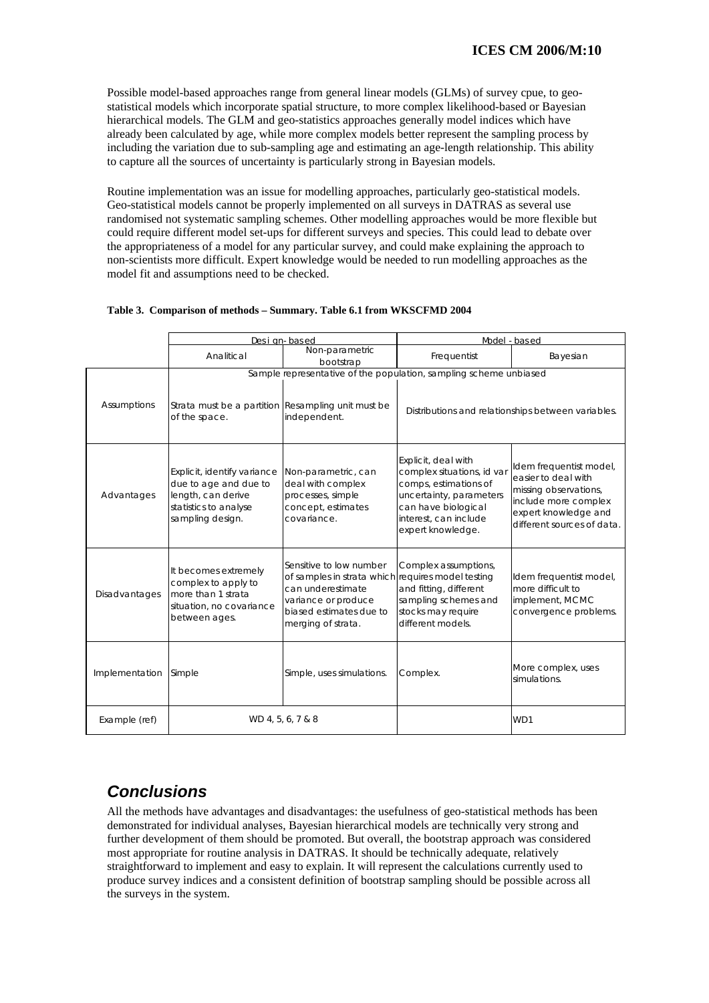Possible model-based approaches range from general linear models (GLMs) of survey cpue, to geostatistical models which incorporate spatial structure, to more complex likelihood-based or Bayesian hierarchical models. The GLM and geo-statistics approaches generally model indices which have already been calculated by age, while more complex models better represent the sampling process by including the variation due to sub-sampling age and estimating an age-length relationship. This ability to capture all the sources of uncertainty is particularly strong in Bayesian models.

randomised not systematic sampling schemes. Other modelling approaches would be more flexible but Routine implementation was an issue for modelling approaches, particularly geo-statistical models. Geo-statistical models cannot be properly implemented on all surveys in DATRAS as several use could require different model set-ups for different surveys and species. This could lead to debate over the appropriateness of a model for any particular survey, and could make explaining the approach to non-scientists more difficult. Expert knowledge would be needed to run modelling approaches as the model fit and assumptions need to be checked.

|                | Desi gn-based                                                                                                           |                                                                                                                                                                           | Model - based                                                                                                                                                              |                                                                                                                                                       |  |
|----------------|-------------------------------------------------------------------------------------------------------------------------|---------------------------------------------------------------------------------------------------------------------------------------------------------------------------|----------------------------------------------------------------------------------------------------------------------------------------------------------------------------|-------------------------------------------------------------------------------------------------------------------------------------------------------|--|
|                | Analitic al                                                                                                             | Non-parametric<br>bootstrap                                                                                                                                               | Frequentist                                                                                                                                                                | Bayesian                                                                                                                                              |  |
|                |                                                                                                                         |                                                                                                                                                                           | Sample representative of the population, sampling scheme unbiased                                                                                                          |                                                                                                                                                       |  |
| Assumptions    | Strata must be a partition Resampling unit must be<br>of the space.                                                     | independent.                                                                                                                                                              |                                                                                                                                                                            | Distributions and relationships between variables.                                                                                                    |  |
| Advantages     | Explicit, identify variance<br>due to age and due to<br>length, can derive<br>statistics to analyse<br>sampling design. | Non-parametric, can<br>deal with complex<br>processes, simple<br>concept, estimates<br>covariance.                                                                        | Explicit, deal with<br>complex situations, id var<br>comps, estimations of<br>uncertainty, parameters<br>can have biological<br>interest, can include<br>expert knowledge. | Idem frequentist model,<br>easier to deal with<br>missing observations,<br>include more complex<br>expert knowledge and<br>different sources of data. |  |
| Disadvantages  | It becomes extremely<br>complex to apply to<br>more than 1 strata<br>situation, no covariance<br>between ages.          | Sensitive to low number<br>of samples in strata which requires model testing<br>can underestimate<br>variance or produce<br>biased estimates due to<br>merging of strata. | Complex assumptions,<br>and fitting, different<br>sampling schemes and<br>stocks may require<br>different models.                                                          | Idem frequentist model,<br>more difficult to<br>implement, MCMC<br>convergence problems.                                                              |  |
| Implementation | Simple                                                                                                                  | Simple, uses simulations.                                                                                                                                                 | Complex.                                                                                                                                                                   | More complex, uses<br>simulations.                                                                                                                    |  |
| Example (ref)  | WD 4, 5, 6, 7 & 8                                                                                                       |                                                                                                                                                                           |                                                                                                                                                                            | WD1                                                                                                                                                   |  |

#### **Table 3. Comparison of methods – Summary. Table 6.1 from WKSCFMD 2004**

# *Conclusions*

All the methods have advantages and disadvantages: the usefulness of geo-statistical methods has been demonstrated for individual analyses, Bayesian hierarchical models are technically very strong and further development of them should be promoted. But overall, the bootstrap approach was considered most appropriate for routine analysis in DATRAS. It should be technically adequate, relatively straightforward to implement and easy to explain. It will represent the calculations currently used to produce survey indices and a consistent definition of bootstrap sampling should be possible across all the surveys in the system.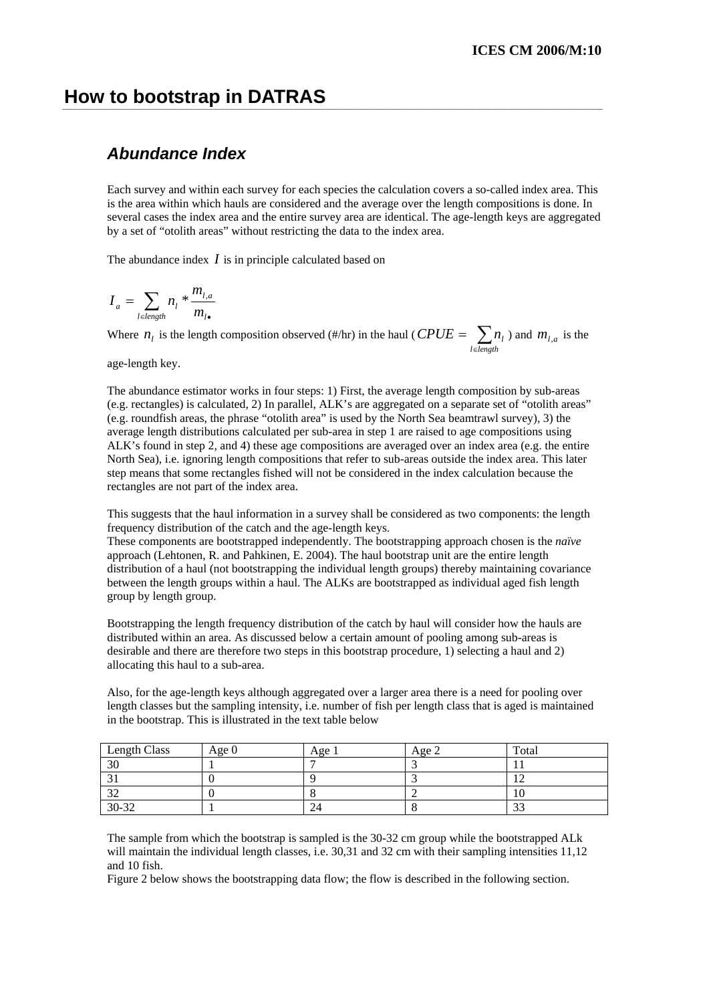## **How to bootstrap in DATRAS**

## *Abundance Index*

Each survey and within each survey for each species the calculation covers a so-called index area. This is the area within which hauls are considered and the average over the length compositions is done. In several cases the index area and the entire survey area are identical. The age-length keys are aggregated by a set of "otolith areas" without restricting the data to the index area.

The abundance index *I* is in principle calculated based on

$$
I_a = \sum_{l \in length} n_l * \frac{m_{l,a}}{m_{l\bullet}}
$$

Where *n<sub>l</sub>* is the length composition observed (#/hr) in the haul (  $CPUE = \sum_{l \in leng}$ *l*∈length  $CPUE = \sum n_i$ ) and  $m_{i,a}$  is the

age-length key.

The abundance estimator works in four steps: 1) First, the average length composition by sub-areas (e.g. roundfish areas, the phrase "otolith area" is used by the North Sea beamtrawl survey), 3) the average length distributions calculated per sub-area in step 1 are raised to age compositions using ALK's found in step 2, and 4) these age compositions are averaged over an index area (e.g. the entire (e.g. rectangles) is calculated, 2) In parallel, ALK's are aggregated on a separate set of "otolith areas" North Sea), i.e. ignoring length compositions that refer to sub-areas outside the index area. This later step means that some rectangles fished will not be considered in the index calculation because the rectangles are not part of the index area.

This suggests that the haul information in a survey shall be considered as two components: the length frequency distribution of the catch and the age-length keys.

distribution of a haul (not bootstrapping the individual length groups) thereby maintaining covariance These components are bootstrapped independently. The bootstrapping approach chosen is the *naïve* approach (Lehtonen, R. and Pahkinen, E. 2004). The haul bootstrap unit are the entire length between the length groups within a haul. The ALKs are bootstrapped as individual aged fish length group by length group.

Bootstrapping the length frequency distribution of the catch by haul will consider how the hauls are distributed within an area. As discussed below a certain amount of pooling among sub-areas is desirable and there are therefore two steps in this bootstrap procedure, 1) selecting a haul and 2) allocating this haul to a sub-area.

length classes but the sampling intensity, i.e. number of fish per length class that is aged is maintained Also, for the age-length keys although aggregated over a larger area there is a need for pooling over in the bootstrap. This is illustrated in the text table below

| Length Class | Age $0$ | Age 1 | Age 2 | Total |
|--------------|---------|-------|-------|-------|
| 30           |         |       |       |       |
|              |         |       |       |       |
| $\sim$       |         |       |       |       |
| 30-32        |         | 24    |       | ر_ر_  |

The sample from which the bootstrap is sampled is the 30-32 cm group while the bootstrapped ALk will maintain the individual length classes, i.e.  $30,31$  and  $32$  cm with their sampling intensities  $11,12$ and 10 fish.

Figure 2 below shows the bootstrapping data flow; the flow is described in the following section.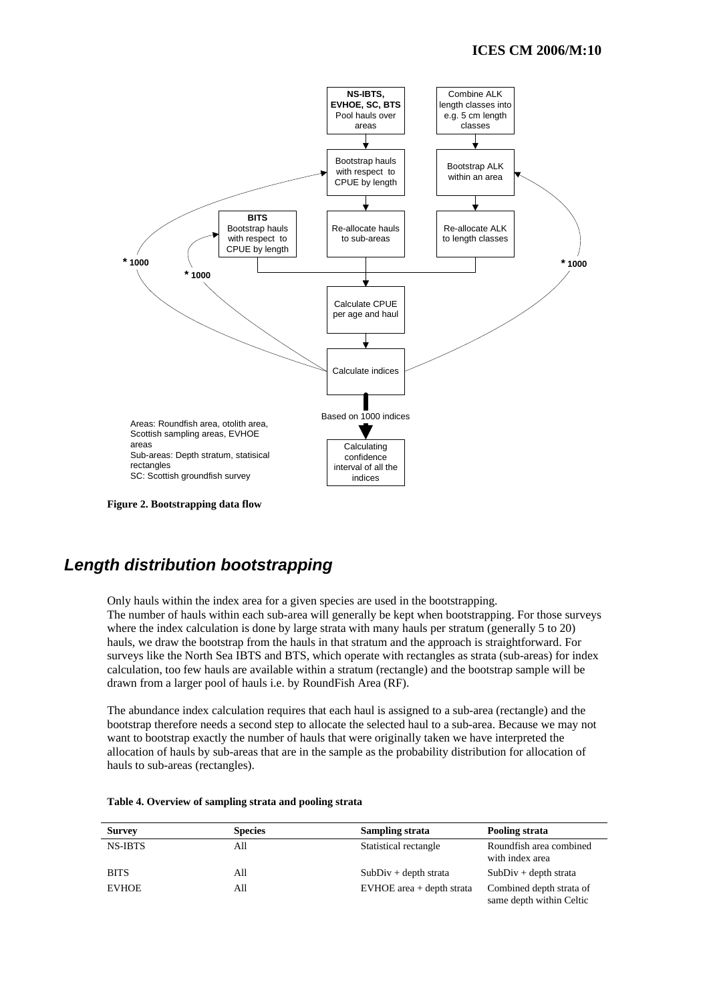

**Figure 2. Bootstrapping data flow** 

## *Length distribution bootstrapping*

Only hauls within the index area for a given species are used in the bootstrapping. The number of hauls within each sub-area will generally be kept when bootstrapping. For those surveys where the index calculation is done by large strata with many hauls per stratum (generally 5 to 20) hauls, we draw the bootstrap from the hauls in that stratum and the approach is straightforward. For surveys like the North Sea IBTS and BTS, which operate with rectangles as strata (sub-areas) for index calculation, too few hauls are available within a stratum (rectangle) and the bootstrap sample will be drawn from a larger pool of hauls i.e. by RoundFish Area (RF).

allocation of hauls by sub-areas that are in the sample as the probability distribution for allocation of hauls to sub-areas (rectangles). The abundance index calculation requires that each haul is assigned to a sub-area (rectangle) and the bootstrap therefore needs a second step to allocate the selected haul to a sub-area. Because we may not want to bootstrap exactly the number of hauls that were originally taken we have interpreted the

| <b>Survey</b>  | <b>Species</b> | Sampling strata             | Pooling strata                                       |
|----------------|----------------|-----------------------------|------------------------------------------------------|
| <b>NS-IBTS</b> | All            | Statistical rectangle       | Roundfish area combined<br>with index area           |
| <b>BITS</b>    | All            | $SubDiv + depth strata$     | $SubDiv + depth strata$                              |
| <b>EVHOE</b>   | All            | $EVMOE$ area + depth strata | Combined depth strata of<br>same depth within Celtic |

| Table 4. Overview of sampling strata and pooling strata |  |  |
|---------------------------------------------------------|--|--|
|---------------------------------------------------------|--|--|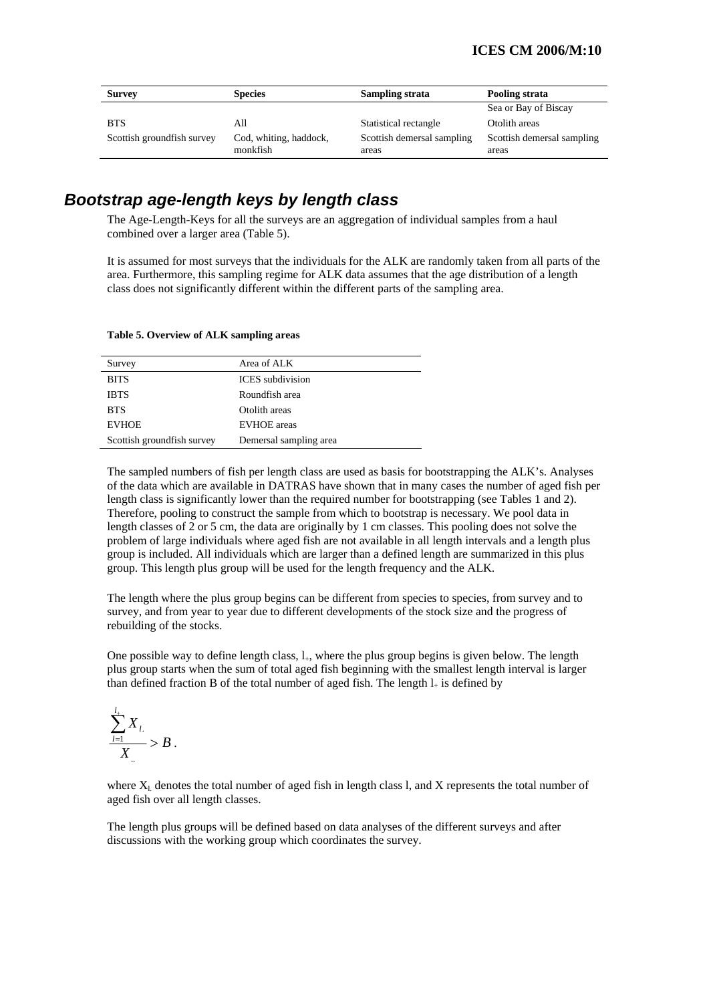| <b>Survey</b>              | <b>Species</b>                     |                                     | Pooling strata                      |
|----------------------------|------------------------------------|-------------------------------------|-------------------------------------|
|                            |                                    |                                     | Sea or Bay of Biscay                |
| <b>BTS</b>                 | All                                | Statistical rectangle               | Otolith areas                       |
| Scottish groundfish survey | Cod, whiting, haddock,<br>monkfish | Scottish demersal sampling<br>areas | Scottish demersal sampling<br>areas |

## *Bootstrap age-length keys by length class*

The Age-Length-Keys for all the surveys are an aggregation of individual samples from a haul combined over a larger area (Table 5).

It is assumed for most surveys that the individuals for the ALK are randomly taken from all parts of the area. Furthermore, this sampling regime for ALK data assumes that the age distribution of a length class does not significantly different within the different parts of the sampling area.

| Survey                     | Area of ALK             |
|----------------------------|-------------------------|
| <b>BITS</b>                | <b>ICES</b> subdivision |
| <b>IBTS</b>                | Roundfish area          |
| <b>BTS</b>                 | Otolith areas           |
| <b>EVHOE</b>               | <b>EVHOE</b> areas      |
| Scottish groundfish survey | Demersal sampling area  |

#### Table 5. Overview of ALK sampling areas

The sampled numbers of fish per length class are used as basis for bootstrapping the ALK's. Analyses of the data which are available in DATRAS have shown that in many cases the number of aged fish per length class is significantly lower than the required number for bootstrapping (see Tables 1 and 2). Therefore, pooling to construct the sample from which to bootstrap is necessary. We pool data in length classes of  $2$  or 5 cm, the data are originally by 1 cm classes. This pooling does not solve the problem of large individuals where aged fish are not available in all length intervals and a length plus group is included. All individuals which are larger than a defined length are summarized in this plus group. This length plus group will be used for the length frequency and the ALK.

The length where the plus group begins can be different from species to species, from survey and to survey, and from year to year due to different developments of the stock size and the progress of rebuilding of the stocks.

One possible way to define length class,  $l_{+}$ , where the plus group begins is given below. The length plus group starts when the sum of total aged fish beginning with the smallest length interval is larger than defined fraction B of the total number of aged fish. The length  $l_{+}$  is defined by

$$
\frac{\sum_{l=1}^{l_+} X_l}{X_{\ldots}} > B.
$$

where  $X_L$  denotes the total number of aged fish in length class l, and  $X$  represents the total number of aged fish over all length classes.

The length plus groups will be defined based on data analyses of the different surveys and after discussions with the working group which coordinates the survey.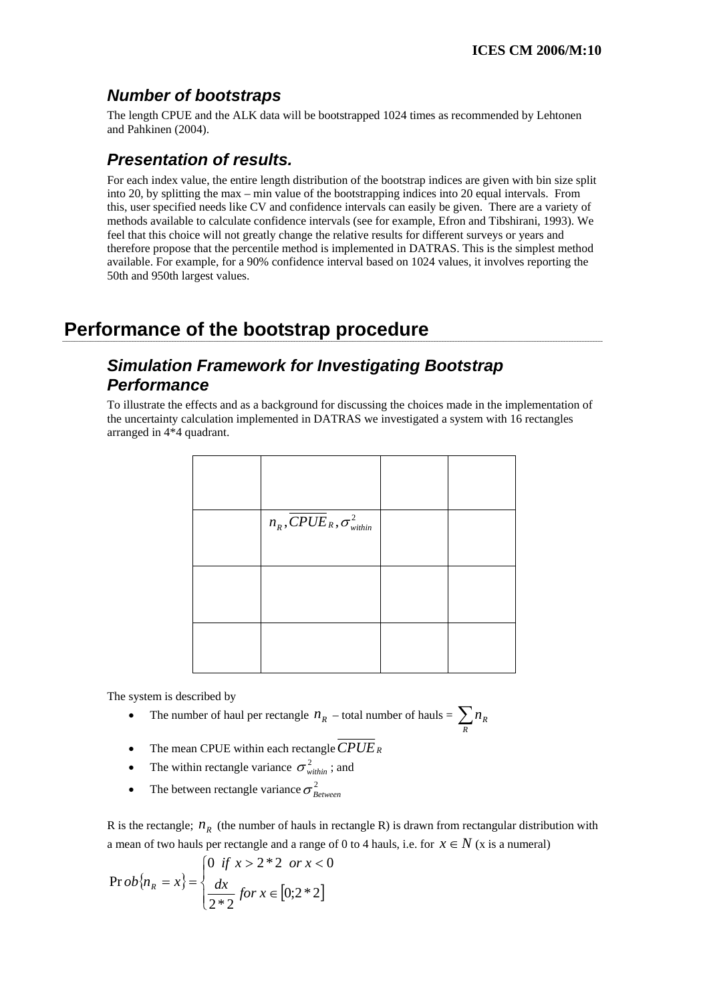## *Number of bootstraps*

The length CPUE and the ALK data will be bootstrapped 1024 tim es as recommended by Lehtonen an d Pahkinen (2004).

## *Presentation of results.*

For each index value, the entire length distribution of the bootstrap indices are given with bin size split into 20, by splitting the max  $-$  min value of the bootstrapping indices into 20 equal intervals. From this, user specified needs like CV and confidence intervals can easily be given. There are a variety of methods available to calculate confidence intervals (see for example, Efron and Tibshirani, 1993). We therefore propose that the percentile method is implemented in DATRAS. This is the simplest method feel that this choice will not greatly change the relative results for different surveys or years and available. For example, for a 90% confidence interval based on 1024 values, it involves reporting the 50th and 950th largest values.

# **Performance of the bootstrap procedure**

## *Simulation Framework for Investigating Bootstrap Performance*

To illustrate the effects and as a background for discussing the choices made in the implementation of the uncertainty calculation implemented in DATRAS we investigated a system with 16 rectangles arranged in 4\*4 quadrant.

| $n_R, \overline{CPUE}_R, \sigma_{within}^2$ |  |
|---------------------------------------------|--|
|                                             |  |
|                                             |  |

The system is desc ribed by

- The number of haul per rectangle  $n_R$  total number of hauls =  $\sum_R$  $n_{R}$
- The mean CPUE within each rectangle*CPUER*
- The within rectangle variance  $\sigma_{within}^2$ ; and
- The between rectangle variance  $\sigma_{Between}^2$

R is the rectangle;  $n<sub>R</sub>$  (the number of hauls in rectangle R) is drawn from rectangular distribution with a mean of two hauls per rectangle and a range of 0 to 4 hauls, i.e. for  $x \in N$  (x is a numeral)

$$
\Pr{ob\{n_R = x\}} = \begin{cases} 0 & \text{if } x > 2 * 2 & \text{or } x < 0 \\ \frac{dx}{2 * 2} & \text{for } x \in [0; 2 * 2] \end{cases}
$$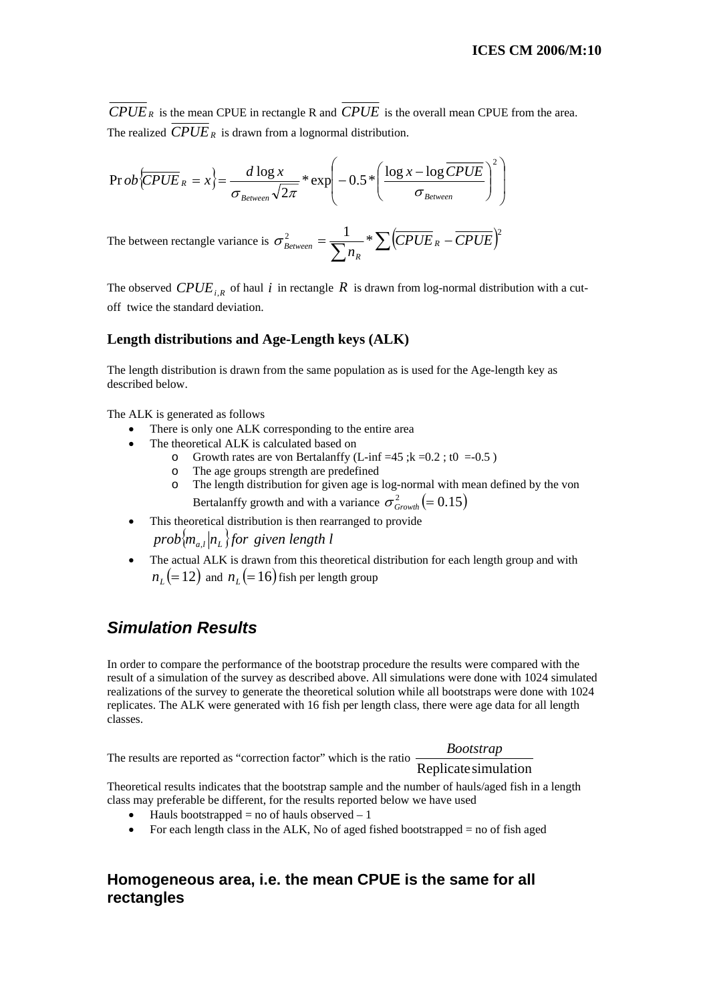$\overline{CPUE}_R$  is the mean CPUE in rectangle R and  $\overline{CPUE}$  is the overall mean CPUE from the area. The realized  $\overline{CPUE}_R$  is drawn from a lognormal distribution.

$$
\Pr{ob} \overline{\overline{CPUE}}_R = x \Big\} = \frac{d \log x}{\sigma_{Between} \sqrt{2\pi}} * \exp\left(-0.5 * \left(\frac{\log x - \log \overline{CPUE}}{\sigma_{Between}}\right)^2\right)
$$

The between rectangle variance is  $\sigma_{Between}^2 = \frac{1}{\sum n_R} * \sum (\overline{CPUE}_R - \overline{CPUE})^2$  $\frac{1}{n_R}$ <sup>\*</sup>  $\sum$  (CPUE<sub>R</sub> *R*  $\sigma_{\scriptscriptstyle\it Between}^-$ 

The observed  $CPUE_{i,R}$  of haul *i* in rectangle *R* is drawn from log-normal distribution with a cutoff twice the standard deviation.

#### Length distributions and Age-Length keys (ALK)

The length distribution is drawn from the same population as is used for the Age-length key as described below.

The ALK is generated as follows

- There is only one ALK corresponding to the entire area
- The theoretical ALK is calculated based on
	- o Growth rates are von Bertalanffy (L-inf =45 ; $k = 0.2$ ; t0 = -0.5)
	- o The age groups strength are predefined
	- o The length distribution for given age is log-normal with mean defined by the von Bertalanffy growth and with a variance  $\sigma_{Growth}^2$  (= 0.15)
- This theoretical distribution is then rearranged to provide  $prob\langle m_{_{a,l}}|n_{_L}\rangle$  for given length l
- The actual ALK is drawn from this theoretical distribution for each length group and with  $n_l$  (= 12) and  $n_l$  (= 16) fish per length group

## *Simulation Results*

In order to compare the performance of the bootstrap procedure the results were compared with the result of a simulation of the survey as described above. All simulations were done with 1024 simulated realizations of the survey to generate the theoretical solution while all bootstraps were done with 1024 replicates. The ALK were generated with 16 fish per length class, there were age data for all length classes.

*Bootstrap*

The results are reported as "correction factor" which is the ratio  $\frac{20000 \text{ m}}{\text{Replicate simulation}}$ 

Theoretic al results indicates that the bootstrap sample and the number of hauls/aged fish in a length c lass may preferable be different, for the results reported below we have used

- Hauls bootstrapped = no of hauls observed  $-1$
- For each length class in the ALK, No of aged fished bootstrapped  $=$  no of fish aged

#### Homogeneous area, i.e. the mean CPUE is the same for all **rectangles**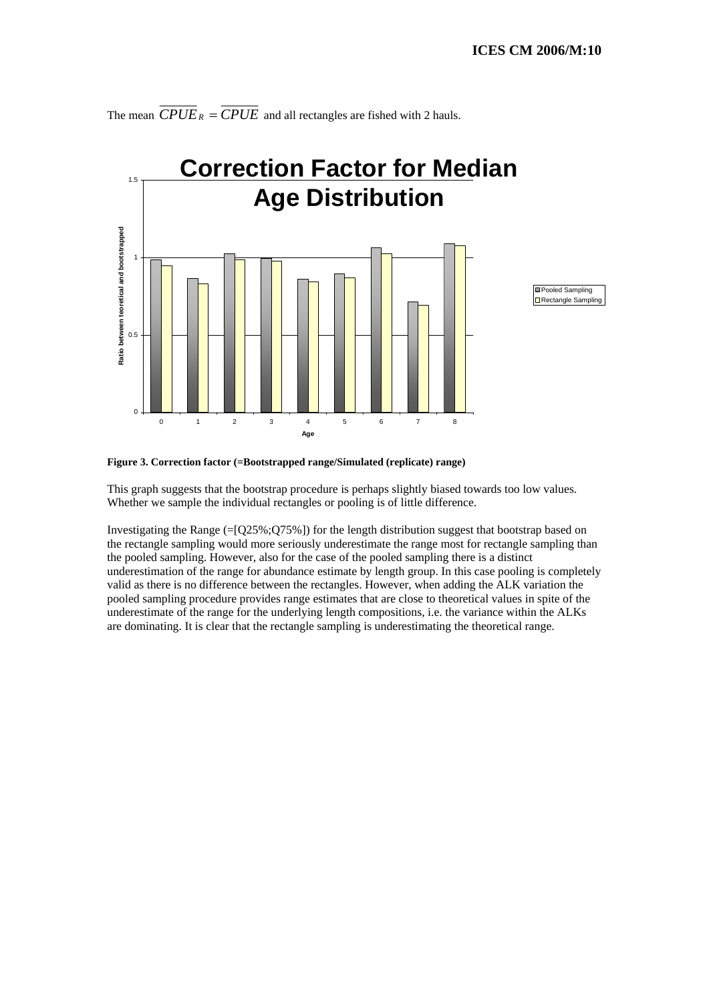

The mean  $\overline{CPUE}_R = \overline{CPUE}$  and all rectangles are fished with 2 hauls.



This graph suggests that the bootstrap procedure is perhaps slightly biased towards too low values. Whether we sample the individual rectangles or pooling is of little difference.

Investigating the Range (=[Q25%;Q75%]) for the length distribution suggest that bootstrap based on the rectangle sampling would more seriously underestimate the range most for rectangle sampling than the pooled sampling. However, also for the case of the pooled sampling there is a distinct underestimation of the range for abundance estimate by length group. In this case pooling is completely underestimate of the range for the underlying length compositions, i.e. the variance within the ALKs valid as there is no difference between the rectangles. However, when adding the ALK variation the pooled sampling procedure provides range estimates that are close to theoretical values in spite of the are dominating. It is clear that the rectangle sampling is underestimating the theoretical range.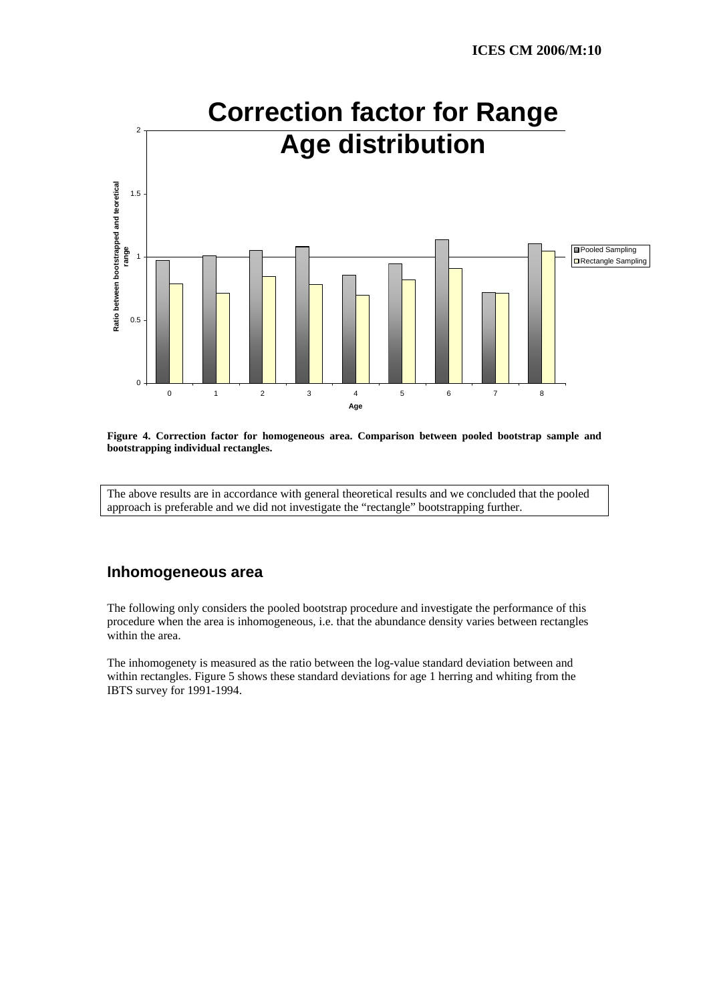



The above results are in accordance with general theoretical results and we concluded that the pooled approach is preferable and we did not investigate the "rectangle" bootstrapping further.

#### **Inhomogeneous area**

The following only considers the pooled bootstrap procedure and investigate the performance of this procedure when the area is inhomogeneous, i.e. that the abundance density varies between rectangles within the area.

The inhomogenety is measured as the ratio between the log-value standard deviation between and within rectangles. Figure 5 shows these standard deviations for age 1 herring and whiting from the IBTS survey for 1991-1994.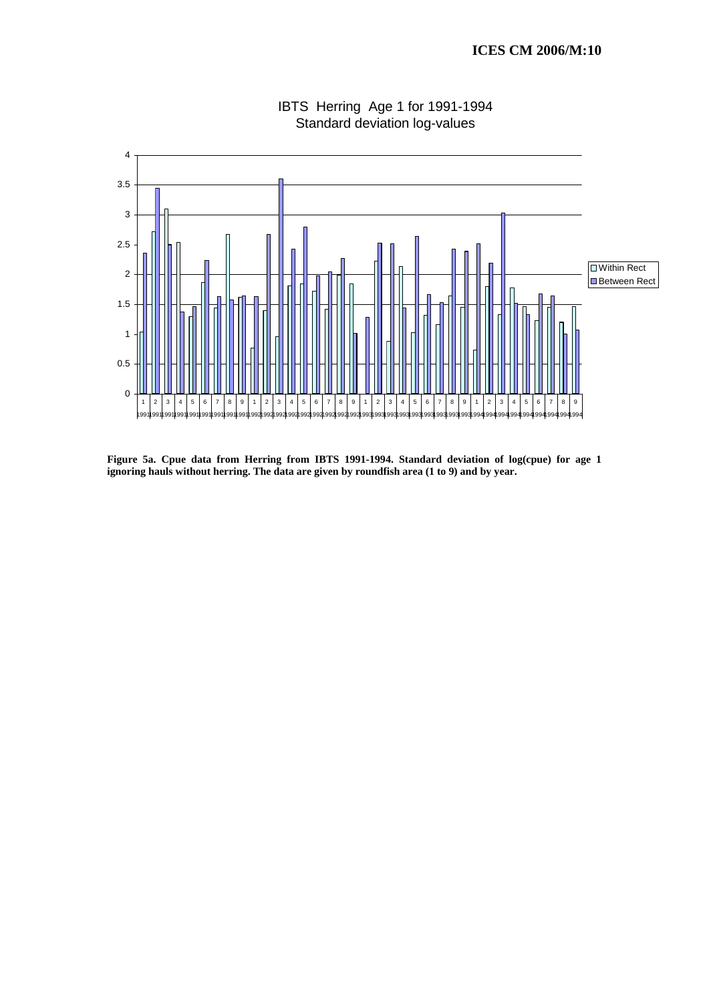

IBTS Herring Age 1 for 1991-1994 Standard deviation log-values

**Figure 5a. Cpue data from Herring from IBTS 1991-1994. Standard deviation of log(cpue) for age 1 ignoring hauls without herring. The data are given by roundfish area (1 to 9) and by year.**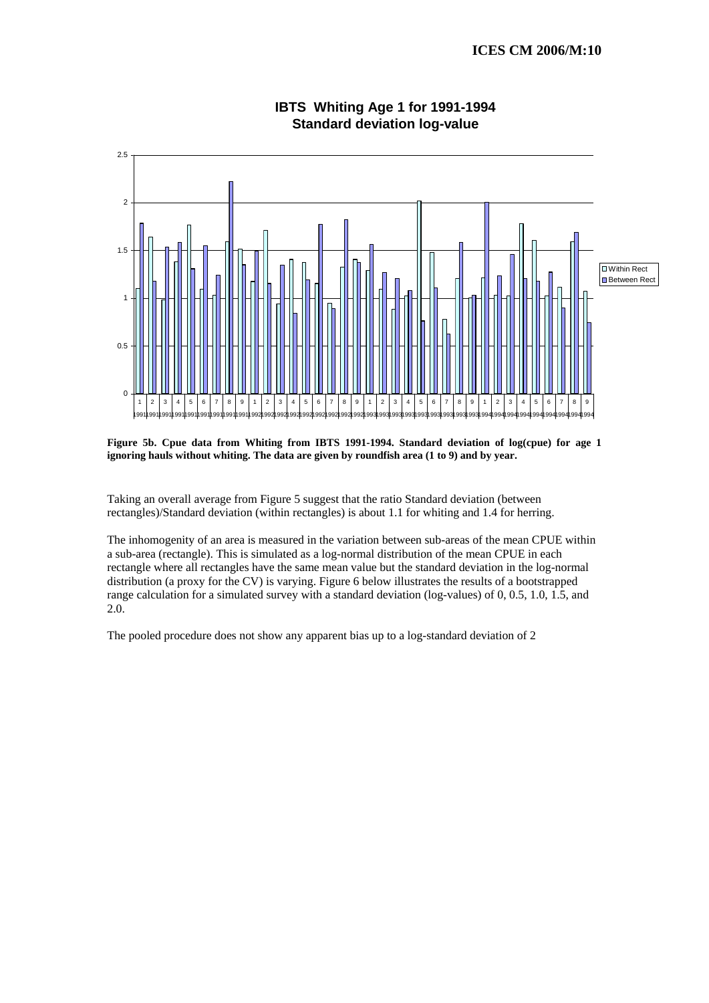

#### **IBTS Whiting Age 1 for 1991-1994 Standard deviation log-value**

**Figure 5b. Cpue data from Whiting from IBTS 1991-1994. Standard deviation of log(cpue) for age 1 ignoring hauls without whiting. The data are given by roundfish area (1 to 9) and by year.** 

Taking an overall average from Figure 5 suggest that the ratio Standard deviation (between rectangles)/Standard deviation (within rectangles) is about 1.1 for whiting and 1.4 for herring.

The inhomogenity of an area is measured in the variation between sub-areas of the mean CPUE within a sub-area (rectangle). This is simulated as a log-normal distribution of the mean CPUE in each rectangle where all rectangles have the same mean value but the standard deviation in the log-normal distribution (a proxy for the CV) is varying. Figure 6 below illustrates the results of a bootstrapped range calculation for a simulated survey with a standard deviation (log-values) of 0, 0.5, 1.0, 1.5, and 2.0.

The pooled procedure does not show any apparent bias up to a log-standard deviation of 2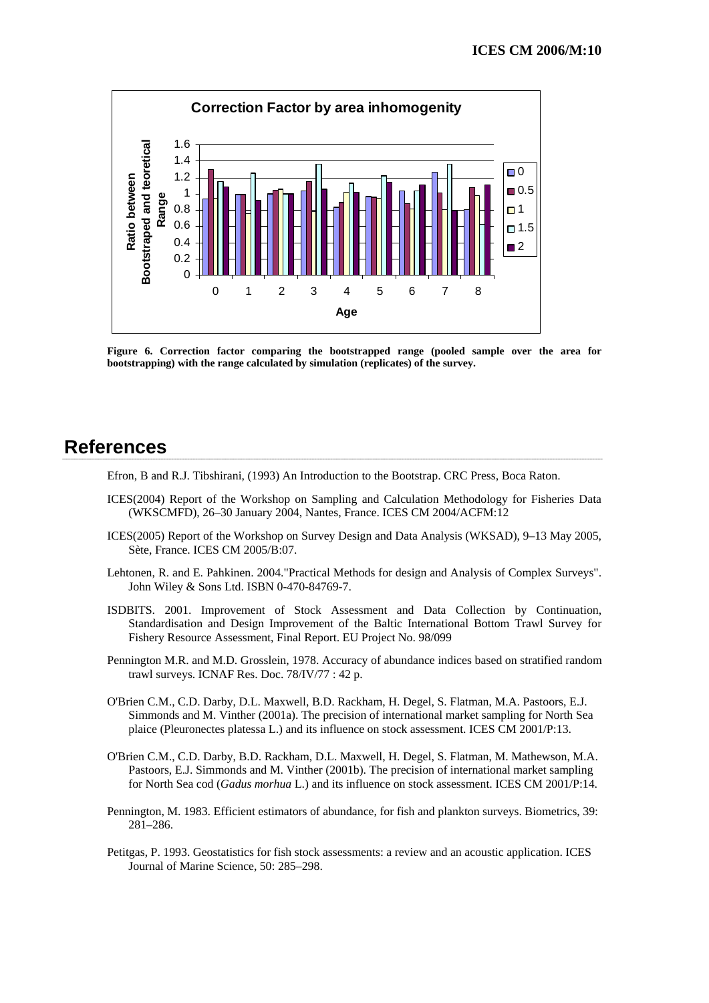

**Figure 6. Correction factor comparing the bootstrapped range (pooled sample over the area for bootstrapping) with the range calculated by simulation (replicates) of the survey.** 

## **References**

Efron, B and R.J. Tibshirani, (1993) An Introduction to the Bootstrap. CRC Press, Boca Raton.

- ICES(2004) Report of the Workshop on Sampling and Calculation Methodology for Fisheries Data (WKSCMFD), 26–30 January 2004, Nantes, France. ICES CM 2004/ACFM:12
- ICES(2005) Report of the Workshop on Survey Design and Data Analysis (WKSAD), 9–13 May 2005, Sète, France. ICES CM 2005/B:07.
- Lehtonen, R. and E. Pahkinen. 2004."Practical Methods for design and Analysis of Complex Surveys". John Wiley & Sons Ltd. ISBN 0-470-84769-7.
- ISDBITS. 2001. Improvement of Stock Assessment and Data Collection by Continuation, Standardisation and Design Improvement of the Baltic International Bottom Trawl Survey for Fishery Resource Assessment, Final Report. EU Project No. 98/099
- Pennington M.R. and M.D. Grosslein, 1978. Accuracy of abundance indices based on stratified random trawl surveys. ICNAF Res. Doc. 78/IV/77 : 42 p.
- O'Brien C.M., C.D. Darby, D.L. Maxwell, B.D. Rackham, H. Degel, S. Flatman, M.A. Pastoors, E.J. Simmonds and M. Vinther (2001a). The precision of international market sampling for North Sea plaice (Pleuronectes platessa L.) and its influence on stock assessment. ICES CM 2001/P:13.
- O'Brien C.M., C.D. Darby, B.D. Rackham, D.L. Maxwell, H. Degel, S. Flatman, M. Mathewson, M.A. Pastoors, E.J. Simmonds and M. Vinther (2001b). The precision of international market sampling for North Sea cod (*Gadus morhua* L.) and its influence on stock assessment. ICES CM 2001/P:14.
- Pennington, M. 1983. Efficient estimators of abundance, for fish and plankton surveys. Biometrics, 39: 281–286.
- Petitgas, P. 1993. Geostatistics for fish stock assessments: a review and an acoustic application. ICES Journal of Marine Science, 50: 285–298.